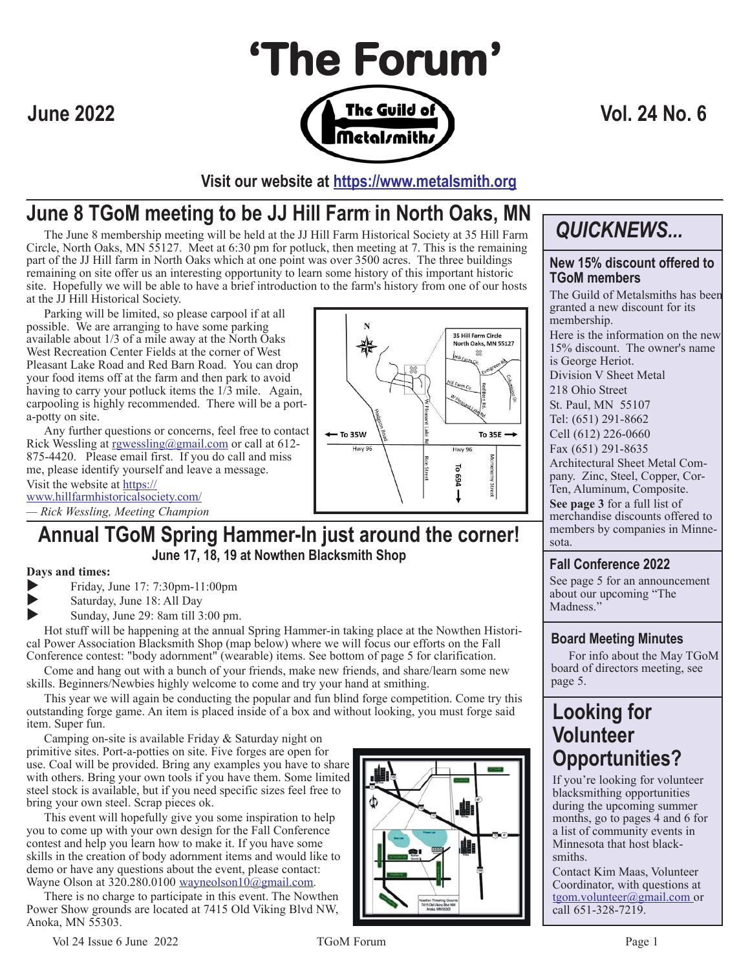

**Visit our website at https://www.metalsmith.org**

### . **June 8 TGoM meeting to be JJ Hill Farm in North Oaks, MN**

The June 8 membership meeting will be held at the JJ Hill Farm Historical Society at 35 Hill Farm **QUICKNEWS...**<br>Ele. North Oaks. MN 55127. Meet at 6:30 pm for potluck, then meeting at 7. This is the remaining Circle, North Oaks, MN 55127. Meet at 6:30 pm for potluck, then meeting at 7. This is the remaining part of the JJ Hill farm in North Oaks which at one point was over 3500 acres. The three buildings remaining on site offer us an interesting opportunity to learn some history of this important historic site. Hopefully we will be able to have a brief introduction to the farm's history from one of our hosts at the JJ Hill Historical Society.

Parking will be limited, so please carpool if at all possible. We are arranging to have some parking available about 1/3 of a mile away at the North Oaks West Recreation Center Fields at the corner of West Pleasant Lake Road and Red Barn Road. You can drop your food items off at the farm and then park to avoid having to carry your potluck items the  $1/3$  mile. Again, carpooling is highly recommended. There will be a porta-potty on site.

Any further questions or concerns, feel free to contact Rick Wessling at rgwessling@gmail.com or call at 612-875-4420. Please email first. If you do call and miss me, please identify yourself and leave a message. Visit the website at https:// www.hillfarmhistoricalsociety.com/



#### **Days and times:**

Friday, June 17: 7:30pm-11:00pm

Saturday, June 18: All Day

Sunday, June 29: 8am till 3:00 pm.

Hot stuff will be happening at the annual Spring Hammer-in taking place at the Nowthen Historical Power Association Blacksmith Shop (map below) where we will focus our efforts on the Fall Conference contest: "body adornment" (wearable) items. See bottom of page 5 for clarification.

Come and hang out with a bunch of your friends, make new friends, and share/learn some new skills. Beginners/Newbies highly welcome to come and try your hand at smithing.

This year we will again be conducting the popular and fun blind forge competition. Come try this outstanding forge game. An item is placed inside of a box and without looking, you must forge said item. Super fun.

Camping on-site is available Friday & Saturday night on primitive sites. Port-a-potties on site. Five forges are open for use. Coal will be provided. Bring any examples you have to share with others. Bring your own tools if you have them. Some limited steel stock is available, but if you need specific sizes feel free to bring your own steel. Scrap pieces ok.

This event will hopefully give you some inspiration to help you to come up with your own design for the Fall Conference contest and help you learn how to make it. If you have some skills in the creation of body adornment items and would like to demo or have any questions about the event, please contact: Wayne Olson at  $320.280.0100$  wayneolson $10\overline{Q}$ gmail.com.

There is no charge to participate in this event. The Nowthen Power Show grounds are located at 7415 Old Viking Blvd NW, Anoka, MN 55303.



#### **New 15% discount offered to TGoM members**

The Guild of Metalsmiths has been granted a new discount for its membership. Here is the information on the new 15% discount. The owner's name is George Heriot. Division V Sheet Metal 218 Ohio Street St. Paul, MN 55107 Tel: (651) 291-8662 Cell (612) 226-0660 Fax (651) 291-8635 Architectural Sheet Metal Company. Zinc, Steel, Copper, Cor-Ten, Aluminum, Composite. **See page 3** for a full list of merchandise discounts offered to members by companies in Minnesota.

#### **Fall Conference 2022**

See page 5 for an announcement about our upcoming "The Madness."

#### **Board Meeting Minutes**

For info about the May TGoM board of directors meeting, see page 5.

### **Looking for Volunteer Opportunities?**

If you're looking for volunteer blacksmithing opportunities during the upcoming summer months, go to pages 4 and 6 for a list of community events in Minnesota that host blacksmiths.

Contact Kim Maas, Volunteer Coordinator, with questions at tgom.volunteer@gmail.com or call 651-328-7219.

Vol 24 Issue 6 June 2022 TGoM Forum TGoM Forum Page 1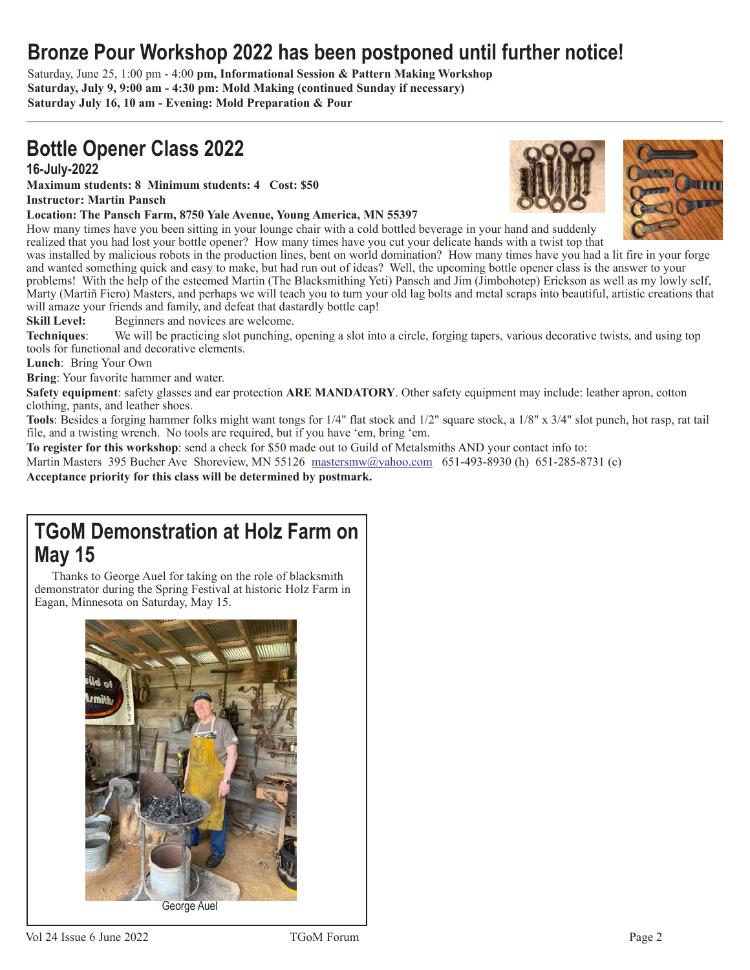### **Bronze Pour Workshop 2022 has been postponed until further notice!**

Saturday, June 25, 1:00 pm - 4:00 **pm, Informational Session & Pattern Making Workshop Saturday, July 9, 9:00 am - 4:30 pm: Mold Making (continued Sunday if necessary) Saturday July 16, 10 am - Evening: Mold Preparation & Pour**

### **Bottle Opener Class 2022 16-July-2022**

**Maximum students: 8 Minimum students: 4 Cost: \$50 Instructor: Martin Pansch**

#### **Location: The Pansch Farm, 8750 Yale Avenue, Young America, MN 55397**

How many times have you been sitting in your lounge chair with a cold bottled beverage in your hand and suddenly realized that you had lost your bottle opener? How many times have you cut your delicate hands with a twist top that

was installed by malicious robots in the production lines, bent on world domination? How many times have you had a lit fire in your forge and wanted something quick and easy to make, but had run out of ideas? Well, the upcoming bottle opener class is the answer to your problems! With the help of the esteemed Martin (The Blacksmithing Yeti) Pansch and Jim (Jimbohotep) Erickson as well as my lowly self, Marty (Martiñ Fiero) Masters, and perhaps we will teach you to turn your old lag bolts and metal scraps into beautiful, artistic creations that will amaze your friends and family, and defeat that dastardly bottle cap!

**Skill Level:** Beginners and novices are welcome.

**Techniques**: We will be practicing slot punching, opening a slot into a circle, forging tapers, various decorative twists, and using top tools for functional and decorative elements.

**Lunch**: Bring Your Own

**Bring**: Your favorite hammer and water.

**Safety equipment**: safety glasses and ear protection **ARE MANDATORY**. Other safety equipment may include: leather apron, cotton clothing, pants, and leather shoes.

**Tools**: Besides a forging hammer folks might want tongs for 1/4" flat stock and 1/2" square stock, a 1/8" x 3/4" slot punch, hot rasp, rat tail file, and a twisting wrench. No tools are required, but if you have 'em, bring 'em.

**To register for this workshop**: send a check for \$50 made out to Guild of Metalsmiths AND your contact info to:

Martin Masters 395 Bucher Ave Shoreview, MN 55126 mastersmw@yahoo.com 651-493-8930 (h) 651-285-8731 (c)

**Acceptance priority for this class will be determined by postmark.**

### **TGoM Demonstration at Holz Farm on May 15**

Thanks to George Auel for taking on the role of blacksmith demonstrator during the Spring Festival at historic Holz Farm in Eagan, Minnesota on Saturday, May 15.





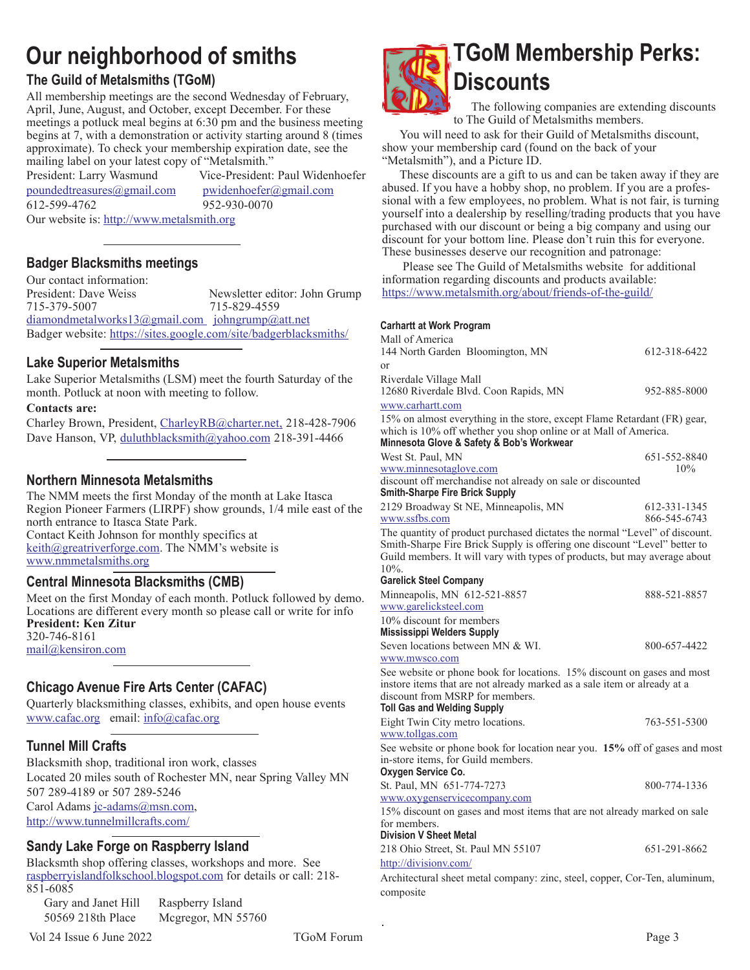## **Our neighborhood of smiths**

#### **The Guild of Metalsmiths (TGoM)**

All membership meetings are the second Wednesday of February, April, June, August, and October, except December. For these meetings a potluck meal begins at 6:30 pm and the business meeting begins at 7, with a demonstration or activity starting around 8 (times approximate). To check your membership expiration date, see the mailing label on your latest copy of "Metalsmith."

President: Larry Wasmund Vice-President: Paul Widenhoefer poundedtreasures@gmail.com pwidenhoefer@gmail.com 612-599-4762 952-930-0070 Our website is: http://www.metalsmith.org

#### **Badger Blacksmiths meetings**

Our contact information: President: Dave Weiss Newsletter editor: John Grump 715-379-5007 715-829-4559 diamondmetalworks13@gmail.com johngrump@att.net Badger website: https://sites.google.com/site/badgerblacksmiths/

#### **Lake Superior Metalsmiths**

Lake Superior Metalsmiths (LSM) meet the fourth Saturday of the month. Potluck at noon with meeting to follow.

**Contacts are:**

Charley Brown, President, CharleyRB@charter.net, 218-428-7906 Dave Hanson, VP, duluthblacksmith@yahoo.com 218-391-4466

#### **Northern Minnesota Metalsmiths**

The NMM meets the first Monday of the month at Lake Itasca Region Pioneer Farmers (LIRPF) show grounds, 1/4 mile east of the north entrance to Itasca State Park. Contact Keith Johnson for monthly specifics at keith@greatriverforge.com. The NMM's website is www.nmmetalsmiths.org

#### **Central Minnesota Blacksmiths (CMB)**

Meet on the first Monday of each month. Potluck followed by demo. Locations are different every month so please call or write for info **President: Ken Zitur** 320-746-8161 mail@kensiron.com

#### **Chicago Avenue Fire Arts Center (CAFAC)**

Quarterly blacksmithing classes, exhibits, and open house events www.cafac.org email: info@cafac.org

#### **Tunnel Mill Crafts**

Blacksmith shop, traditional iron work, classes Located 20 miles south of Rochester MN, near Spring Valley MN 507 289-4189 or 507 289-5246 Carol Adams jc-adams@msn.com, http://www.tunnelmillcrafts.com/

#### **Sandy Lake Forge on Raspberry Island**

Blacksmth shop offering classes, workshops and more. See raspberryislandfolkschool.blogspot.com for details or call: 218- 851-6085

Gary and Janet Hill Raspberry Island

50569 218th Place Mcgregor, MN 55760

Vol 24 Issue 6 June 2022 TGoM Forum Page 3

composite



The following companies are extending discounts to The Guild of Metalsmiths members.

You will need to ask for their Guild of Metalsmiths discount, show your membership card (found on the back of your "Metalsmith"), and a Picture ID.

These discounts are a gift to us and can be taken away if they are abused. If you have a hobby shop, no problem. If you are a professional with a few employees, no problem. What is not fair, is turning yourself into a dealership by reselling/trading products that you have purchased with our discount or being a big company and using our discount for your bottom line. Please don't ruin this for everyone. These businesses deserve our recognition and patronage:

 Please see The Guild of Metalsmiths website for additional information regarding discounts and products available: https://www.metalsmith.org/about/friends-of-the-guild/

#### **Carhartt at Work Program**

| Mall of America<br>144 North Garden Bloomington, MN                                                                                                                                                                                                                                                                                                       | 612-318-6422                |
|-----------------------------------------------------------------------------------------------------------------------------------------------------------------------------------------------------------------------------------------------------------------------------------------------------------------------------------------------------------|-----------------------------|
| or                                                                                                                                                                                                                                                                                                                                                        |                             |
| Riverdale Village Mall                                                                                                                                                                                                                                                                                                                                    |                             |
| 12680 Riverdale Blvd. Coon Rapids, MN                                                                                                                                                                                                                                                                                                                     | 952-885-8000                |
| www.carhartt.com                                                                                                                                                                                                                                                                                                                                          |                             |
| $\overline{a}$ = $\overline{a}$ $\overline{b}$ + $\overline{a}$ + $\overline{a}$ + $\overline{a}$ + $\overline{a}$ + $\overline{a}$ + $\overline{a}$ + $\overline{a}$ + $\overline{a}$ + $\overline{a}$ + $\overline{a}$ + $\overline{a}$ + $\overline{a}$ + $\overline{a}$ + $\overline{a}$ + $\overline{a}$ + $\overline{a}$ + $\overline{a}$ + $\over$ | $\sim$ $\sim$ $\sim$ $\sim$ |

15% on almost everything in the store, except Flame Retardant (FR) gear, which is 10% off whether you shop online or at Mall of America. **Minnesota Glove & Safety & Bob's Workwear**

| <u>Millillesula Oluve &amp; Jaiely &amp; Dub S Wulkwear</u>                                                                                                                                                                                     |              |
|-------------------------------------------------------------------------------------------------------------------------------------------------------------------------------------------------------------------------------------------------|--------------|
| West St. Paul, MN                                                                                                                                                                                                                               | 651-552-8840 |
| www.minnesotaglove.com                                                                                                                                                                                                                          | 10%          |
| discount off merchandise not already on sale or discounted                                                                                                                                                                                      |              |
| <b>Smith-Sharpe Fire Brick Supply</b>                                                                                                                                                                                                           |              |
| 2129 Broadway St NE, Minneapolis, MN                                                                                                                                                                                                            | 612-331-1345 |
| www.ssfbs.com                                                                                                                                                                                                                                   | 866-545-6743 |
| The quantity of product purchased dictates the normal "Level" of discount.<br>Smith-Sharpe Fire Brick Supply is offering one discount "Level" better to<br>Guild members. It will vary with types of products, but may average about<br>$10%$ . |              |
| <b>Garelick Steel Company</b>                                                                                                                                                                                                                   |              |
| Minneapolis, MN 612-521-8857                                                                                                                                                                                                                    | 888-521-8857 |
| www.garelicksteel.com                                                                                                                                                                                                                           |              |
| 10% discount for members                                                                                                                                                                                                                        |              |
| <b>Mississippi Welders Supply</b>                                                                                                                                                                                                               |              |
| Seven locations between MN & WI.                                                                                                                                                                                                                | 800-657-4422 |
| www.mwsco.com                                                                                                                                                                                                                                   |              |
| See website or phone book for locations. 15% discount on gases and most<br>instore items that are not already marked as a sale item or already at a<br>discount from MSRP for members.<br><b>Toll Gas and Welding Supply</b>                    |              |
| Eight Twin City metro locations.                                                                                                                                                                                                                | 763-551-5300 |
| www.tollgas.com                                                                                                                                                                                                                                 |              |
| See website or phone book for location near you. 15% off of gases and most<br>in-store items, for Guild members.<br>Oxygen Service Co.                                                                                                          |              |
| St. Paul, MN 651-774-7273                                                                                                                                                                                                                       | 800-774-1336 |
| www.oxygenservicecompany.com                                                                                                                                                                                                                    |              |
| 15% discount on gases and most items that are not already marked on sale<br>for members.<br><b>Division V Sheet Metal</b>                                                                                                                       |              |
|                                                                                                                                                                                                                                                 |              |
| 218 Ohio Street, St. Paul MN 55107<br>http://divisionv.com/                                                                                                                                                                                     | 651-291-8662 |
| Architectural sheet metal company: zinc, steel, copper, Cor-Ten, aluminum,                                                                                                                                                                      |              |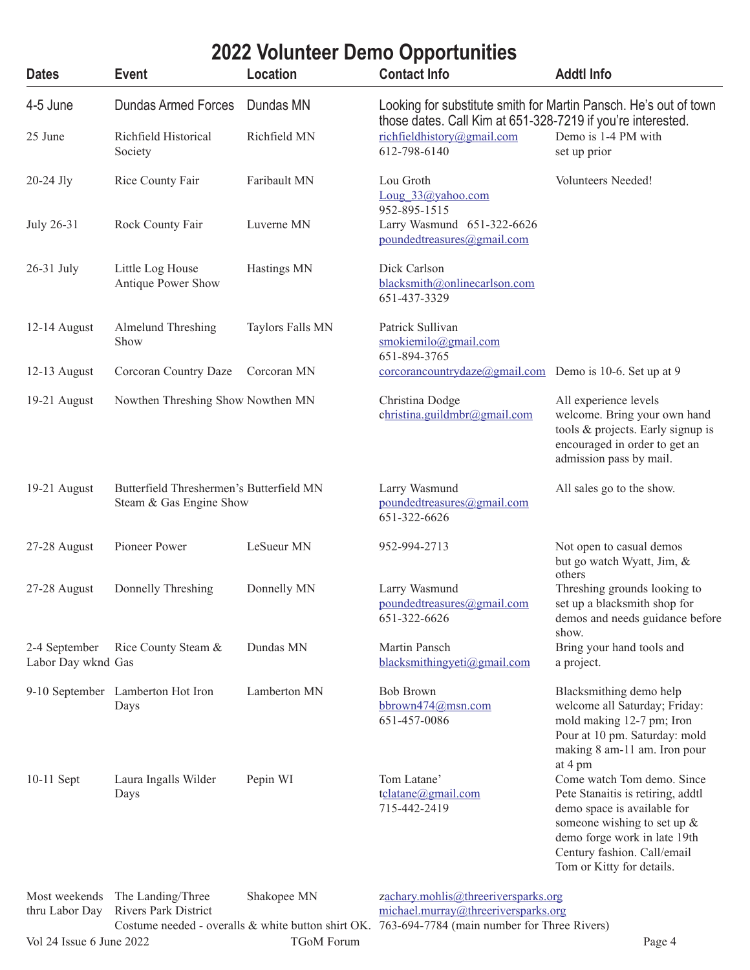#### **Dates Event Location Contact Info Addtl Info** 4-5 June Dundas Armed Forces Dundas MN Looking for substitute smith for Martin Pansch. He's out of town those dates. Call Kim at 651-328-7219 if you're interested. 25 June Richfield Historical Richfield MN richfieldhistory@gmail.com Demo is 1-4 PM with Society 612-798-6140 set up prior 20-24 Jly Rice County Fair Faribault MN Lou Groth Volunteers Needed! Loug 33@yahoo.com 952-895-1515 July 26-31 Rock County Fair Luverne MN Larry Wasmund 651-322-6626 poundedtreasures@gmail.com **2022 Volunteer Demo Opportunities**

651-437-3329

Antique Power Show blacksmith@onlinecarlson.com

Show smokiemilo@gmail.com

|                                     |                                                                     |              | 651-894-3765                                                    |                                                                                                                                                                                                                              |
|-------------------------------------|---------------------------------------------------------------------|--------------|-----------------------------------------------------------------|------------------------------------------------------------------------------------------------------------------------------------------------------------------------------------------------------------------------------|
| 12-13 August                        | Corcoran Country Daze                                               | Corcoran MN  | $corcorancontrydaze(\omega gmail.com$ Demo is 10-6. Set up at 9 |                                                                                                                                                                                                                              |
| 19-21 August                        | Nowthen Threshing Show Nowthen MN                                   |              | Christina Dodge<br>christina.guildmbr@gmail.com                 | All experience levels<br>welcome. Bring your own hand<br>tools & projects. Early signup is<br>encouraged in order to get an<br>admission pass by mail.                                                                       |
| 19-21 August                        | Butterfield Threshermen's Butterfield MN<br>Steam & Gas Engine Show |              | Larry Wasmund<br>poundedtreasures@gmail.com<br>651-322-6626     | All sales go to the show.                                                                                                                                                                                                    |
| 27-28 August                        | Pioneer Power                                                       | LeSueur MN   | 952-994-2713                                                    | Not open to casual demos<br>but go watch Wyatt, Jim, &<br>others                                                                                                                                                             |
| 27-28 August                        | Donnelly Threshing                                                  | Donnelly MN  | Larry Wasmund<br>poundedtreasures@gmail.com<br>651-322-6626     | Threshing grounds looking to<br>set up a blacksmith shop for<br>demos and needs guidance before<br>show.                                                                                                                     |
| 2-4 September<br>Labor Day wknd Gas | Rice County Steam &                                                 | Dundas MN    | Martin Pansch<br>blacksmithingyeti@gmail.com                    | Bring your hand tools and<br>a project.                                                                                                                                                                                      |
|                                     | 9-10 September Lamberton Hot Iron<br>Days                           | Lamberton MN | <b>Bob Brown</b><br>bbrown474@msn.com<br>651-457-0086           | Blacksmithing demo help<br>welcome all Saturday; Friday:<br>mold making 12-7 pm; Iron<br>Pour at 10 pm. Saturday: mold<br>making 8 am-11 am. Iron pour<br>at 4 pm                                                            |
| 10-11 Sept                          | Laura Ingalls Wilder<br>Days                                        | Pepin WI     | Tom Latane'<br>tclatane@gmail.com<br>715-442-2419               | Come watch Tom demo. Since<br>Pete Stanaitis is retiring, addtl<br>demo space is available for<br>someone wishing to set up $\&$<br>demo forge work in late 19th<br>Century fashion. Call/email<br>Tom or Kitty for details. |

Vol 24 Issue 6 June 2022 TGoM Forum Page 4 Most weekends The Landing/Three Shakopee MN zachary.mohlis@threeriversparks.org thru Labor Day Rivers Park District michael.murray@threeriversparks.org Costume needed - overalls & white button shirt OK. 763-694-7784 (main number for Three Rivers)

26-31 July Little Log House Hastings MN Dick Carlson

12-14 August Almelund Threshing Taylors Falls MN Patrick Sullivan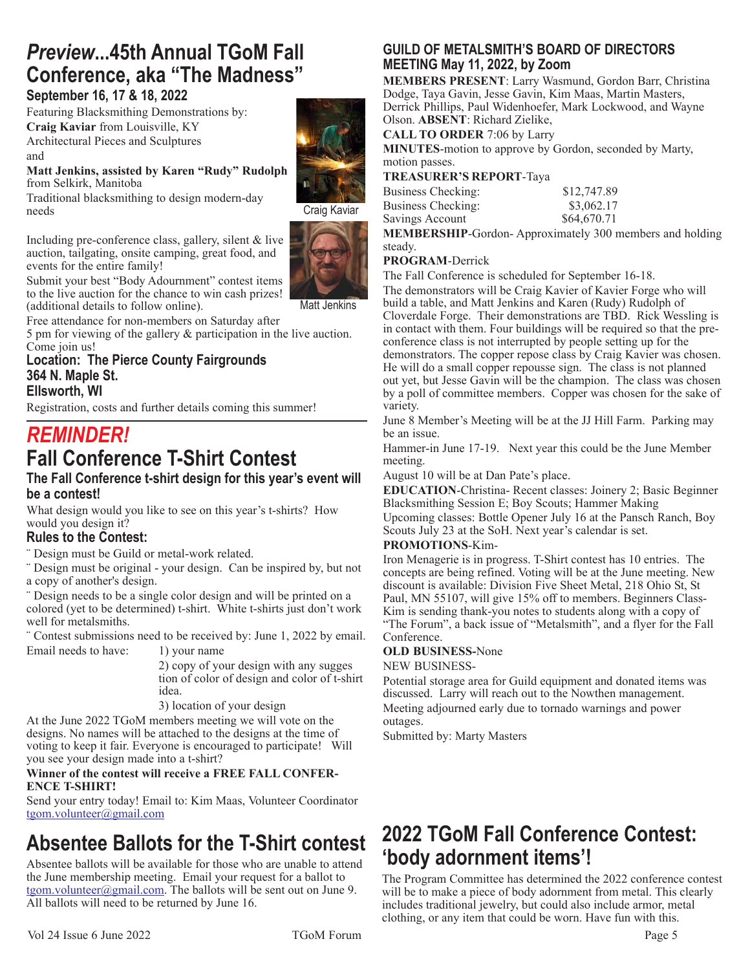## *Preview***...45th Annual TGoM Fall Conference, aka "The Madness"**

#### **September 16, 17 & 18, 2022**

Featuring Blacksmithing Demonstrations by: **Craig Kaviar** from Louisville, KY Architectural Pieces and Sculptures and

**Matt Jenkins, assisted by Karen "Rudy" Rudolph** from Selkirk, Manitoba

Traditional blacksmithing to design modern-day needs

Including pre-conference class, gallery, silent & live auction, tailgating, onsite camping, great food, and events for the entire family!



Matt Jenkins

Craig Kaviar

Submit your best "Body Adournment" contest items to the live auction for the chance to win cash prizes! (additional details to follow online).

Free attendance for non-members on Saturday after

5 pm for viewing of the gallery & participation in the live auction. Come join us!

#### **Location: The Pierce County Fairgrounds 364 N. Maple St. Ellsworth, WI**

Registration, costs and further details coming this summer!

### *REMINDER!* **Fall Conference T-Shirt Contest**

#### **The Fall Conference t-shirt design for this year's event will be a contest!**

What design would you like to see on this year's t-shirts? How would you design it?

#### **Rules to the Contest:**

¨ Design must be Guild or metal-work related.

¨ Design must be original - your design. Can be inspired by, but not a copy of another's design.

¨ Design needs to be a single color design and will be printed on a colored (yet to be determined) t-shirt. White t-shirts just don't work well for metalsmiths.

¨ Contest submissions need to be received by: June 1, 2022 by email. Email needs to have: 1) your name

2) copy of your design with any sugges tion of color of design and color of t-shirt idea.

3) location of your design

At the June 2022 TGoM members meeting we will vote on the designs. No names will be attached to the designs at the time of voting to keep it fair. Everyone is encouraged to participate! Will you see your design made into a t-shirt?

#### **Winner of the contest will receive a FREE FALL CONFER-ENCE T-SHIRT!**

Send your entry today! Email to: Kim Maas, Volunteer Coordinator tgom.volunteer@gmail.com

### **Absentee Ballots for the T-Shirt contest**

Absentee ballots will be available for those who are unable to attend the June membership meeting. Email your request for a ballot to tgom.volunteer@gmail.com. The ballots will be sent out on June 9. All ballots will need to be returned by June 16.

#### **GUILD OF METALSMITH'S BOARD OF DIRECTORS MEETING May 11, 2022, by Zoom**

**MEMBERS PRESENT**: Larry Wasmund, Gordon Barr, Christina Dodge, Taya Gavin, Jesse Gavin, Kim Maas, Martin Masters, Derrick Phillips, Paul Widenhoefer, Mark Lockwood, and Wayne Olson. **ABSENT**: Richard Zielike,

**CALL TO ORDER** 7:06 by Larry

**MINUTES**-motion to approve by Gordon, seconded by Marty, motion passes.

#### **TREASURER'S REPORT**-Taya

| Business Checking: | \$12,747.89                                                    |
|--------------------|----------------------------------------------------------------|
| Business Checking: | \$3,062.17                                                     |
| Savings Account    | \$64,670.71                                                    |
|                    | <b>MEMBERSHIP-Gordon-Approximately 300 members and holding</b> |

#### steady. **PROGRAM**-Derrick

The Fall Conference is scheduled for September 16-18.

The demonstrators will be Craig Kavier of Kavier Forge who will build a table, and Matt Jenkins and Karen (Rudy) Rudolph of Cloverdale Forge. Their demonstrations are TBD. Rick Wessling is in contact with them. Four buildings will be required so that the preconference class is not interrupted by people setting up for the demonstrators. The copper repose class by Craig Kavier was chosen. He will do a small copper repousse sign. The class is not planned out yet, but Jesse Gavin will be the champion. The class was chosen by a poll of committee members. Copper was chosen for the sake of variety.

June 8 Member's Meeting will be at the JJ Hill Farm. Parking may be an issue.

Hammer-in June 17-19. Next year this could be the June Member meeting.

August 10 will be at Dan Pate's place.

**EDUCATION**-Christina- Recent classes: Joinery 2; Basic Beginner Blacksmithing Session E; Boy Scouts; Hammer Making

Upcoming classes: Bottle Opener July 16 at the Pansch Ranch, Boy Scouts July 23 at the SoH. Next year's calendar is set.

#### **PROMOTIONS**-Kim-

Iron Menagerie is in progress. T-Shirt contest has 10 entries. The concepts are being refined. Voting will be at the June meeting. New discount is available: Division Five Sheet Metal, 218 Ohio St, St Paul, MN 55107, will give 15% off to members. Beginners Class-Kim is sending thank-you notes to students along with a copy of "The Forum", a back issue of "Metalsmith", and a flyer for the Fall Conference.

#### **OLD BUSINESS-**None

NEW BUSINESS-

Potential storage area for Guild equipment and donated items was discussed. Larry will reach out to the Nowthen management. Meeting adjourned early due to tornado warnings and power outages.

Submitted by: Marty Masters

### **2022 TGoM Fall Conference Contest: 'body adornment items'!**

The Program Committee has determined the 2022 conference contest will be to make a piece of body adornment from metal. This clearly includes traditional jewelry, but could also include armor, metal clothing, or any item that could be worn. Have fun with this.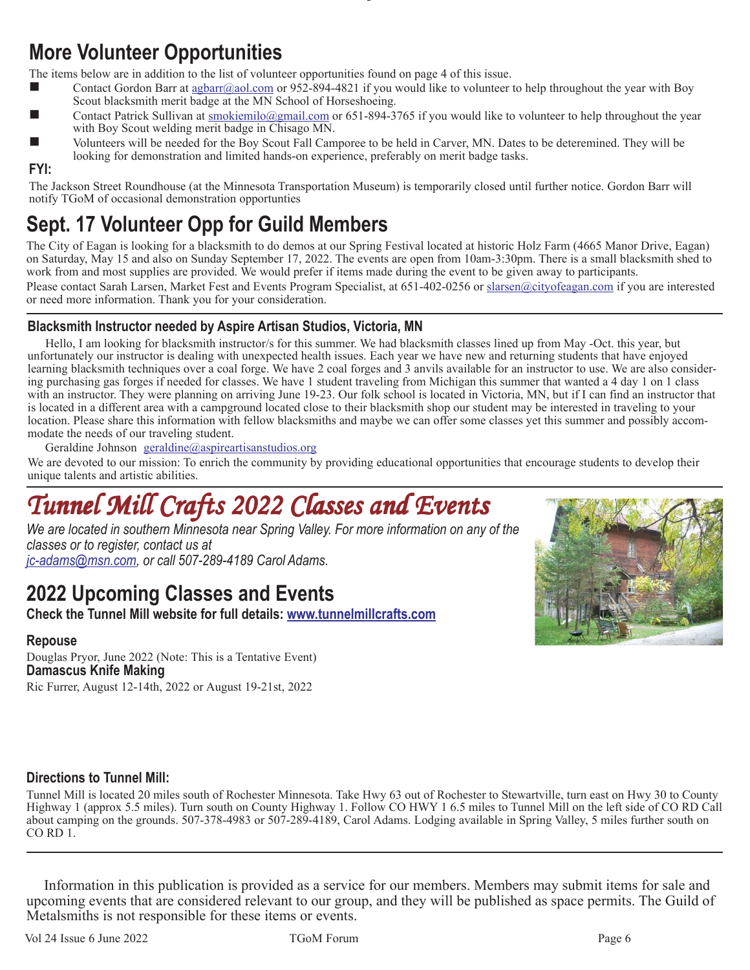### **More Volunteer Opportunities**

The items below are in addition to the list of volunteer opportunities found on page 4 of this issue.

- Contact Gordon Barr at  $\frac{1}{2}$  and  $\frac{1}{2}$  com or 952-894-4821 if you would like to volunteer to help throughout the year with Boy Scout blacksmith merit badge at the MN School of Horseshoeing.
- Contact Patrick Sullivan at smokiemilo@gmail.com or 651-894-3765 if you would like to volunteer to help throughout the year with Boy Scout welding merit badge in Chisago MN.
- Volunteers will be needed for the Boy Scout Fall Camporee to be held in Carver, MN. Dates to be deteremined. They will be looking for demonstration and limited hands-on experience, preferably on merit badge tasks.

#### **FYI:**

The Jackson Street Roundhouse (at the Minnesota Transportation Museum) is temporarily closed until further notice. Gordon Barr will notify TGoM of occasional demonstration opportunties

### **Sept. 17 Volunteer Opp for Guild Members**

The City of Eagan is looking for a blacksmith to do demos at our Spring Festival located at historic Holz Farm (4665 Manor Drive, Eagan) on Saturday, May 15 and also on Sunday September 17, 2022. The events are open from 10am-3:30pm. There is a small blacksmith shed to work from and most supplies are provided. We would prefer if items made during the event to be given away to participants.

Please contact Sarah Larsen, Market Fest and Events Program Specialist, at 651-402-0256 or slarsen@cityofeagan.com if you are interested or need more information. Thank you for your consideration.

#### **Blacksmith Instructor needed by Aspire Artisan Studios, Victoria, MN**

Hello, I am looking for blacksmith instructor/s for this summer. We had blacksmith classes lined up from May -Oct. this year, but unfortunately our instructor is dealing with unexpected health issues. Each year we have new and returning students that have enjoyed learning blacksmith techniques over a coal forge. We have 2 coal forges and 3 anvils available for an instructor to use. We are also considering purchasing gas forges if needed for classes. We have 1 student traveling from Michigan this summer that wanted a 4 day 1 on 1 class with an instructor. They were planning on arriving June 19-23. Our folk school is located in Victoria, MN, but if I can find an instructor that is located in a different area with a campground located close to their blacksmith shop our student may be interested in traveling to your location. Please share this information with fellow blacksmiths and maybe we can offer some classes yet this summer and possibly accommodate the needs of our traveling student.

Geraldine Johnson geraldine@aspireartisanstudios.org

We are devoted to our mission: To enrich the community by providing educational opportunities that encourage students to develop their unique talents and artistic abilities.

## *Tunnel Mill Crafts 2022 Classes and Events Tunnel Mill Crafts 2022 Classes and EventsTunnel Mill Crafts 2022 Classes and Events*

*We are located in southern Minnesota near Spring Valley. For more information on any of the classes or to register, contact us at jc-adams@msn.com, or call 507-289-4189 Carol Adams.*

### **2022 Upcoming Classes and Events**

**Check the Tunnel Mill website for full details: www.tunnelmillcrafts.com**

#### **Repouse**

Douglas Pryor, June 2022 (Note: This is a Tentative Event) **Damascus Knife Making** Ric Furrer, August 12-14th, 2022 or August 19-21st, 2022



#### **Directions to Tunnel Mill:**

Tunnel Mill is located 20 miles south of Rochester Minnesota. Take Hwy 63 out of Rochester to Stewartville, turn east on Hwy 30 to County Highway 1 (approx 5.5 miles). Turn south on County Highway 1. Follow CO HWY 1 6.5 miles to Tunnel Mill on the left side of CO RD Call about camping on the grounds. 507-378-4983 or 507-289-4189, Carol Adams. Lodging available in Spring Valley, 5 miles further south on CO RD 1.

Information in this publication is provided as a service for our members. Members may submit items for sale and upcoming events that are considered relevant to our group, and they will be published as space permits. The Guild of Metalsmiths is not responsible for these items or events.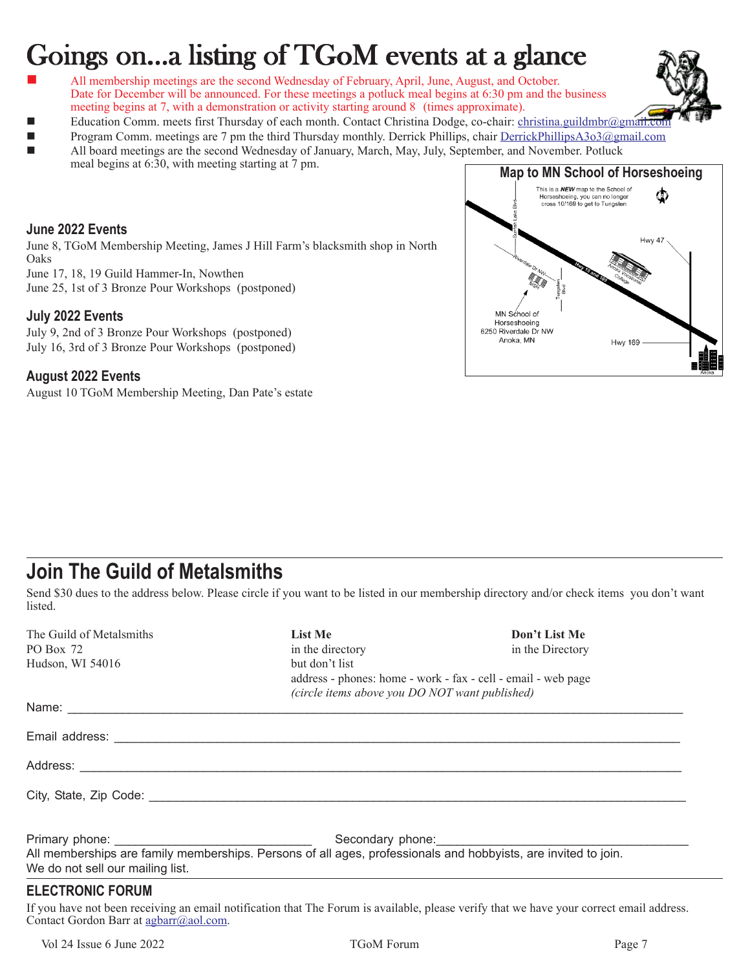# Goings on...a listing of TGoM events at a glance

- All membership meetings are the second Wednesday of February, April, June, August, and October. Date for December will be announced. For these meetings a potluck meal begins at 6:30 pm and the business meeting begins at 7, with a demonstration or activity starting around 8 (times approximate).
- Education Comm. meets first Thursday of each month. Contact Christina Dodge, co-chair: christina.guildmbr@gmail.co
- Program Comm. meetings are 7 pm the third Thursday monthly. Derrick Phillips, chair DerrickPhillipsA3o3@gmail.com
- All board meetings are the second Wednesday of January, March, May, July, September, and November. Potluck meal begins at 6:30, with meeting starting at 7 pm.

#### **June 2022 Events**

June 8, TGoM Membership Meeting, James J Hill Farm's blacksmith shop in North Oaks

June 17, 18, 19 Guild Hammer-In, Nowthen

June 25, 1st of 3 Bronze Pour Workshops (postponed)

#### **July 2022 Events**

July 9, 2nd of 3 Bronze Pour Workshops (postponed) July 16, 3rd of 3 Bronze Pour Workshops (postponed)

#### **August 2022 Events**

August 10 TGoM Membership Meeting, Dan Pate's estate



### **Join The Guild of Metalsmiths**

Send \$30 dues to the address below. Please circle if you want to be listed in our membership directory and/or check items you don't want listed.

| The Guild of Metalsmiths         | <b>List Me</b>                                                                                                 | Don't List Me    |  |
|----------------------------------|----------------------------------------------------------------------------------------------------------------|------------------|--|
| PO Box 72                        | in the directory                                                                                               | in the Directory |  |
| Hudson, WI 54016                 | but don't list                                                                                                 |                  |  |
|                                  | address - phones: home - work - fax - cell - email - web page                                                  |                  |  |
|                                  | (circle items above you DO NOT want published)                                                                 |                  |  |
|                                  |                                                                                                                |                  |  |
|                                  |                                                                                                                |                  |  |
|                                  |                                                                                                                |                  |  |
|                                  |                                                                                                                |                  |  |
|                                  |                                                                                                                |                  |  |
|                                  |                                                                                                                | Secondary phone: |  |
|                                  | All memberships are family memberships. Persons of all ages, professionals and hobbyists, are invited to join. |                  |  |
| We do not sell our mailing list. |                                                                                                                |                  |  |
| <b>ELECTRONIC FORUM</b>          |                                                                                                                |                  |  |

If you have not been receiving an email notification that The Forum is available, please verify that we have your correct email address. Contact Gordon Barr at agbarr@aol.com.